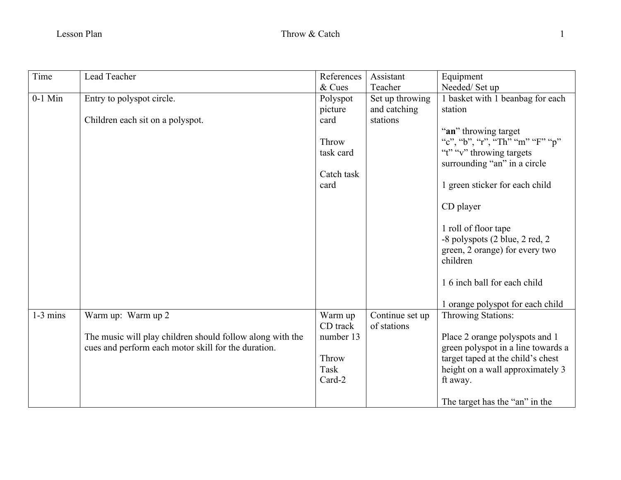| Time       | Lead Teacher                                              | References | Assistant       | Equipment                          |
|------------|-----------------------------------------------------------|------------|-----------------|------------------------------------|
|            |                                                           | & Cues     | Teacher         | Needed/Set up                      |
| $0-1$ Min  | Entry to polyspot circle.                                 | Polyspot   | Set up throwing | 1 basket with 1 beanbag for each   |
|            |                                                           | picture    | and catching    | station                            |
|            | Children each sit on a polyspot.                          | card       | stations        |                                    |
|            |                                                           |            |                 | "an" throwing target               |
|            |                                                           | Throw      |                 | "c", "b", "r", "Th" "m" "F" "p"    |
|            |                                                           | task card  |                 | "t" "v" throwing targets           |
|            |                                                           |            |                 | surrounding "an" in a circle       |
|            |                                                           | Catch task |                 |                                    |
|            |                                                           | card       |                 | 1 green sticker for each child     |
|            |                                                           |            |                 |                                    |
|            |                                                           |            |                 | CD player                          |
|            |                                                           |            |                 | 1 roll of floor tape               |
|            |                                                           |            |                 | -8 polyspots (2 blue, 2 red, 2     |
|            |                                                           |            |                 | green, 2 orange) for every two     |
|            |                                                           |            |                 | children                           |
|            |                                                           |            |                 |                                    |
|            |                                                           |            |                 | 1.6 inch ball for each child       |
|            |                                                           |            |                 |                                    |
|            |                                                           |            |                 | 1 orange polyspot for each child   |
| $1-3$ mins | Warm up: Warm up 2                                        | Warm up    | Continue set up | Throwing Stations:                 |
|            |                                                           | CD track   | of stations     |                                    |
|            | The music will play children should follow along with the | number 13  |                 | Place 2 orange polyspots and 1     |
|            | cues and perform each motor skill for the duration.       |            |                 | green polyspot in a line towards a |
|            |                                                           | Throw      |                 | target taped at the child's chest  |
|            |                                                           | Task       |                 | height on a wall approximately 3   |
|            |                                                           | Card-2     |                 | ft away.                           |
|            |                                                           |            |                 |                                    |
|            |                                                           |            |                 | The target has the "an" in the     |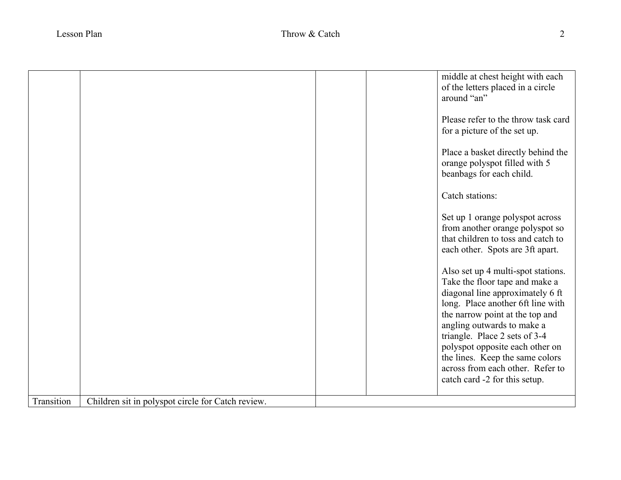|            |                                                   |  | middle at chest height with each<br>of the letters placed in a circle<br>around "an"<br>Please refer to the throw task card<br>for a picture of the set up.<br>Place a basket directly behind the<br>orange polyspot filled with 5<br>beanbags for each child.<br>Catch stations:<br>Set up 1 orange polyspot across<br>from another orange polyspot so<br>that children to toss and catch to<br>each other. Spots are 3ft apart.<br>Also set up 4 multi-spot stations.<br>Take the floor tape and make a |
|------------|---------------------------------------------------|--|-----------------------------------------------------------------------------------------------------------------------------------------------------------------------------------------------------------------------------------------------------------------------------------------------------------------------------------------------------------------------------------------------------------------------------------------------------------------------------------------------------------|
|            |                                                   |  | diagonal line approximately 6 ft<br>long. Place another 6ft line with<br>the narrow point at the top and<br>angling outwards to make a<br>triangle. Place 2 sets of 3-4<br>polyspot opposite each other on<br>the lines. Keep the same colors<br>across from each other. Refer to<br>catch card -2 for this setup.                                                                                                                                                                                        |
| Transition | Children sit in polyspot circle for Catch review. |  |                                                                                                                                                                                                                                                                                                                                                                                                                                                                                                           |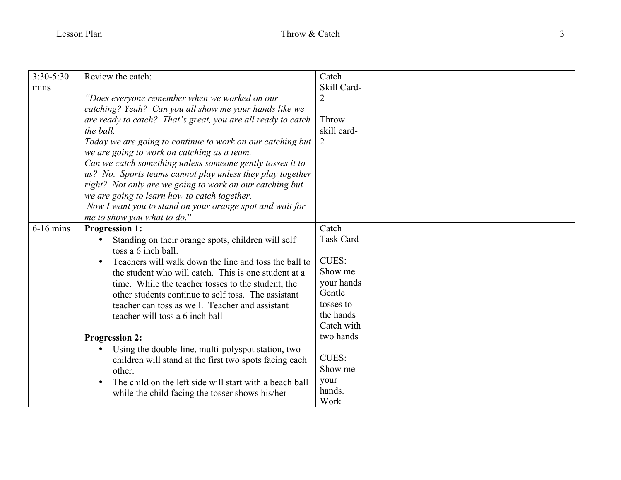| $3:30-5:30$ | Review the catch:                                            | Catch            |
|-------------|--------------------------------------------------------------|------------------|
| mins        |                                                              | Skill Card-      |
|             | "Does everyone remember when we worked on our                | $\overline{2}$   |
|             | catching? Yeah? Can you all show me your hands like we       |                  |
|             | are ready to catch? That's great, you are all ready to catch | Throw            |
|             | the ball.                                                    | skill card-      |
|             | Today we are going to continue to work on our catching but   | $\overline{2}$   |
|             | we are going to work on catching as a team.                  |                  |
|             | Can we catch something unless someone gently tosses it to    |                  |
|             | us? No. Sports teams cannot play unless they play together   |                  |
|             | right? Not only are we going to work on our catching but     |                  |
|             | we are going to learn how to catch together.                 |                  |
|             | Now I want you to stand on your orange spot and wait for     |                  |
|             | me to show you what to do."                                  |                  |
| $6-16$ mins | <b>Progression 1:</b>                                        | Catch            |
|             | Standing on their orange spots, children will self           | <b>Task Card</b> |
|             | toss a 6 inch ball.                                          |                  |
|             | Teachers will walk down the line and toss the ball to        | <b>CUES:</b>     |
|             | the student who will catch. This is one student at a         | Show me          |
|             | time. While the teacher tosses to the student, the           | your hands       |
|             | other students continue to self toss. The assistant          | Gentle           |
|             | teacher can toss as well. Teacher and assistant              | tosses to        |
|             | teacher will toss a 6 inch ball                              | the hands        |
|             |                                                              | Catch with       |
|             | <b>Progression 2:</b>                                        | two hands        |
|             | Using the double-line, multi-polyspot station, two<br>٠      |                  |
|             | children will stand at the first two spots facing each       | <b>CUES:</b>     |
|             | other.                                                       | Show me          |
|             | The child on the left side will start with a beach ball      | your             |
|             | while the child facing the tosser shows his/her              | hands.           |
|             |                                                              | Work             |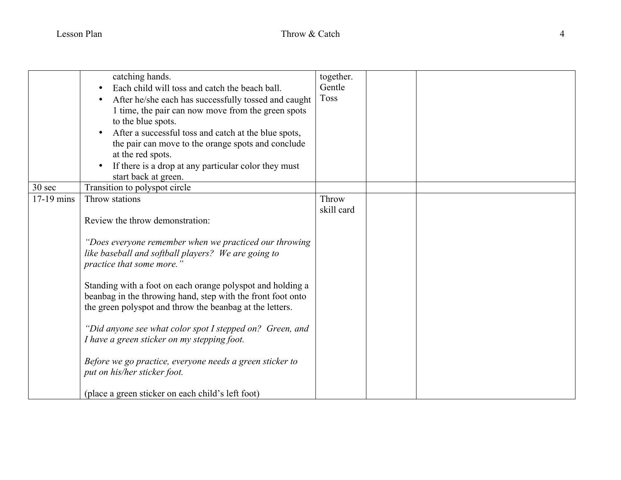|            | catching hands.<br>Each child will toss and catch the beach ball.                                                                                                                     | together.<br>Gentle |  |
|------------|---------------------------------------------------------------------------------------------------------------------------------------------------------------------------------------|---------------------|--|
|            | After he/she each has successfully tossed and caught<br>1 time, the pair can now move from the green spots<br>to the blue spots.                                                      | <b>Toss</b>         |  |
|            | After a successful toss and catch at the blue spots,<br>the pair can move to the orange spots and conclude<br>at the red spots.                                                       |                     |  |
|            | If there is a drop at any particular color they must<br>$\bullet$<br>start back at green.                                                                                             |                     |  |
| 30 sec     | Transition to polyspot circle                                                                                                                                                         |                     |  |
| 17-19 mins | Throw stations                                                                                                                                                                        | Throw<br>skill card |  |
|            | Review the throw demonstration:                                                                                                                                                       |                     |  |
|            | "Does everyone remember when we practiced our throwing<br>like baseball and softball players? We are going to<br>practice that some more."                                            |                     |  |
|            | Standing with a foot on each orange polyspot and holding a<br>beanbag in the throwing hand, step with the front foot onto<br>the green polyspot and throw the beanbag at the letters. |                     |  |
|            | "Did anyone see what color spot I stepped on? Green, and<br>I have a green sticker on my stepping foot.                                                                               |                     |  |
|            | Before we go practice, everyone needs a green sticker to<br>put on his/her sticker foot.                                                                                              |                     |  |
|            | (place a green sticker on each child's left foot)                                                                                                                                     |                     |  |